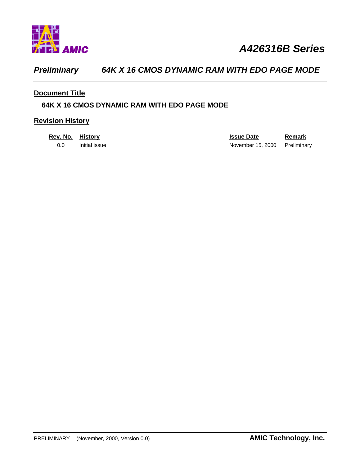

# *Preliminary 64K X 16 CMOS DYNAMIC RAM WITH EDO PAGE MODE*

## **Document Title**

## **64K X 16 CMOS DYNAMIC RAM WITH EDO PAGE MODE**

## **Revision History**

| Rev. No. | <b>History</b> |
|----------|----------------|
| 0.0      | Initial issue  |

**Remark Remark** e November 15, 2000 Preliminary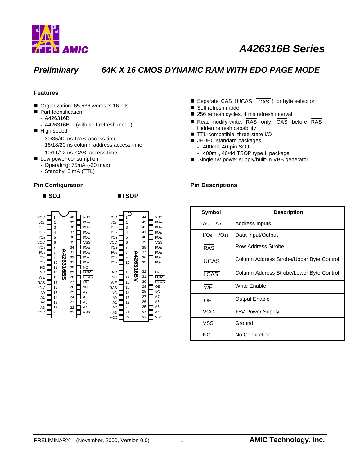

# *A426316B Series*

*Preliminary 64K X 16 CMOS DYNAMIC RAM WITH EDO PAGE MODE*

#### **Features**

- $\blacksquare$  Organization: 65,536 words X 16 bits
- Part Identification:
	- A426316B
	- A426316B-L (with self-refresh mode)
- High speed
	- 30/35/40 ns RAS access time
	- 16/18/20 ns column address access time
	- $-10/11/12$  ns  $\overline{CAS}$  access time
- **n** Low power consumption
	- Operating: 75mA (-30 max)
	- Standby: 3 mA (TTL)

#### **Pin Configuration Pin Descriptions**





- Separate  $\overline{CAS}$  ( $\overline{UCAS}$ ,  $\overline{LCAS}$ ) for byte selection
- Self refresh mode
- 256 refresh cycles, 4 ms refresh interval
- Read-modify-write,  $\overline{RAS}$  -only,  $\overline{CAS}$  -before-  $\overline{RAS}$ , Hidden refresh capability
- TTL-compatible, three-state I/O
- JEDEC standard packages
	- 400mil, 40-pin SOJ
	- 400mil, 40/44 TSOP type II package
- Single 5V power supply/built-in VBB generator

| Symbol             | Description                              |  |  |  |  |  |
|--------------------|------------------------------------------|--|--|--|--|--|
| $AO - A7$          | Address Inputs                           |  |  |  |  |  |
| $I/O_0 - I/O_{15}$ | Data Input/Output                        |  |  |  |  |  |
| <b>RAS</b>         | Row Address Strobe                       |  |  |  |  |  |
| <b>UCAS</b>        | Column Address Strobe/Upper Byte Control |  |  |  |  |  |
| <b>LCAS</b>        | Column Address Strobe/Lower Byte Control |  |  |  |  |  |
| <b>WF</b>          | Write Enable                             |  |  |  |  |  |
| OF                 | <b>Output Enable</b>                     |  |  |  |  |  |
| <b>VCC</b>         | +5V Power Supply                         |  |  |  |  |  |
| VSS                | Ground                                   |  |  |  |  |  |
| ΝC                 | No Connection                            |  |  |  |  |  |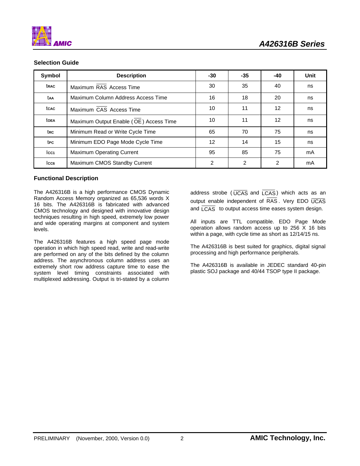

## **Selection Guide**

| Symbol          | <b>Description</b>                     | -30 | $-35$ | -40            | Unit |
|-----------------|----------------------------------------|-----|-------|----------------|------|
| trac            | Maximum RAS Access Time                | 30  | 35    | 40             | ns   |
| taa             | Maximum Column Address Access Time     | 16  | 18    | 20             | ns   |
| tcac            | Maximum CAS Access Time                | 10  | 11    | 12             | ns   |
| toea            | Maximum Output Enable (OE) Access Time | 10  | 11    | 12             | ns   |
| trc             | Minimum Read or Write Cycle Time       | 65  | 70    | 75             | ns   |
| t <sub>PC</sub> | Minimum EDO Page Mode Cycle Time       | 12  | 14    | 15             | ns   |
| Icc1            | <b>Maximum Operating Current</b>       | 95  | 85    | 75             | mA   |
| ICC6            | Maximum CMOS Standby Current           | 2   | 2     | $\overline{2}$ | mA   |

#### **Functional Description**

The A426316B is a high performance CMOS Dynamic Random Access Memory organized as 65,536 words X 16 bits. The A426316B is fabricated with advanced CMOS technology and designed with innovative design techniques resulting in high speed, extremely low power and wide operating margins at component and system levels.

The A426316B features a high speed page mode operation in which high speed read, write and read-write are performed on any of the bits defined by the column address. The asynchronous column address uses an extremely short row address capture time to ease the system level timing constraints associated with multiplexed addressing. Output is tri-stated by a column

address strobe ( $\overline{UCAS}$  and  $\overline{LCAS}$ ) which acts as an output enable independent of  $\overline{RAS}$ . Very EDO  $\overline{UCAS}$ and  $\overline{LCAS}$  to output access time eases system design.

All inputs are TTL compatible. EDO Page Mode operation allows random access up to 256 X 16 bits within a page, with cycle time as short as 12/14/15 ns.

The A426316B is best suited for graphics, digital signal processing and high performance peripherals.

The A426316B is available in JEDEC standard 40-pin plastic SOJ package and 40/44 TSOP type II package.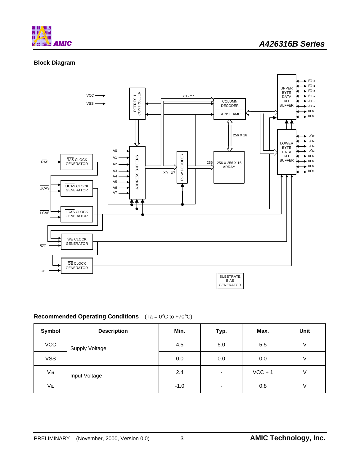

## **Block Diagram**



## **GENERATOR**

## **Recommended Operating Conditions** (Ta = 0°C to +70°C)

| Symbol     | <b>Description</b> | Min.   | Typ.                     | Max.      | Unit |
|------------|--------------------|--------|--------------------------|-----------|------|
| <b>VCC</b> | Supply Voltage     | 4.5    | 5.0                      | 5.5       | \/   |
| <b>VSS</b> |                    | 0.0    | 0.0                      | 0.0       | V    |
| Vıн        | Input Voltage      | 2.4    | $\overline{\phantom{0}}$ | $VCC + 1$ |      |
| VIL        |                    | $-1.0$ |                          | 0.8       | V    |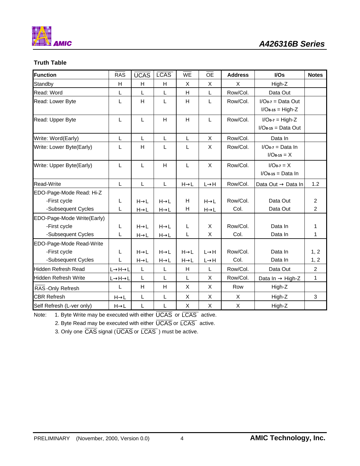

## **Truth Table**

| Function                    | RAS                             | <b>UCAS</b>       | <b>LCAS</b>       | $\overline{\text{WE}}$ | $\overline{OE}$   | <b>Address</b> | I/Os                                      | <b>Notes</b>   |
|-----------------------------|---------------------------------|-------------------|-------------------|------------------------|-------------------|----------------|-------------------------------------------|----------------|
| Standby                     | н                               | H                 | H                 | X                      | X                 | X              | High-Z                                    |                |
| Read: Word                  | L                               | L                 | L                 | H                      | L                 | Row/Col.       | Data Out                                  |                |
| Read: Lower Byte            | L                               | H                 | L                 | H                      | L                 | Row/Col.       | $I/O0-7 = Data Out$<br>$I/O8-15 = High-Z$ |                |
| Read: Upper Byte            | L                               | L                 | H                 | H                      | L                 | Row/Col.       | $I/O0-7 = High-Z$<br>$I/O8-15 = Data Out$ |                |
| Write: Word(Early)          | L                               | L                 | L                 | L                      | X                 | Row/Col.       | Data In                                   |                |
| Write: Lower Byte(Early)    | L                               | H                 | L                 | L                      | X                 | Row/Col.       | $I/O0-7 = Data In$<br>$I/O8-15 = X$       |                |
| Write: Upper Byte(Early)    | L                               | L                 | H                 | L                      | X                 | Row/Col.       | $I/O0-7 = X$<br>$I/O8-15 = Data In$       |                |
| Read-Write                  | L                               | L                 | L                 | $H\rightarrow L$       | $L\rightarrow H$  | Row/Col.       | Data Out → Data In                        | 1.2            |
| EDO-Page-Mode Read: Hi-Z    |                                 |                   |                   |                        |                   |                |                                           |                |
| -First cycle                | L                               | $H\rightarrow L$  | $H \rightarrow L$ | H                      | $H\rightarrow L$  | Row/Col.       | Data Out                                  | $\overline{2}$ |
| -Subsequent Cycles          | L                               | $H\rightarrow L$  | $H\rightarrow L$  | н                      | $H\rightarrow L$  | Col.           | Data Out                                  | $\overline{2}$ |
| EDO-Page-Mode Write(Early)  |                                 |                   |                   |                        |                   |                |                                           |                |
| -First cycle                | L                               | $H\rightarrow L$  | $H \rightarrow L$ | L                      | X                 | Row/Col.       | Data In                                   | 1              |
| -Subsequent Cycles          | L                               | $H\rightarrow L$  | $H\rightarrow L$  | L                      | X                 | Col.           | Data In                                   | 1              |
| EDO-Page-Mode Read-Write    |                                 |                   |                   |                        |                   |                |                                           |                |
| -First cycle                | L                               | $H\rightarrow L$  | $H\rightarrow L$  | $H\rightarrow L$       | $L \rightarrow H$ | Row/Col.       | Data In                                   | 1, 2           |
| -Subsequent Cycles          | L                               | $H \rightarrow L$ | $H\rightarrow L$  | $H\rightarrow L$       | L→H               | Col.           | Data In                                   | 1, 2           |
| <b>Hidden Refresh Read</b>  | $L\rightarrow H\rightarrow L$   | L                 | L                 | H                      | L                 | Row/Col.       | Data Out                                  | $\overline{2}$ |
| <b>Hidden Refresh Write</b> | $L \rightarrow H \rightarrow L$ | L                 | L                 | L                      | X                 | Row/Col.       | Data In $\rightarrow$ High-Z              | 1              |
| RAS-Only Refresh            | L                               | H                 | H                 | X                      | X                 | Row            | High-Z                                    |                |
| <b>CBR Refresh</b>          | $H\rightarrow L$                | L                 | L                 | X                      | X                 | X              | High-Z                                    | 3              |
| Self Refresh (L-ver only)   | $H \rightarrow L$               | L                 | L                 | X                      | $\mathsf{x}$      | X              | High-Z                                    |                |

Note: 1. Byte Write may be executed with either  $\overline{UCAS}$  or  $\overline{LCAS}$  active.

2. Byte Read may be executed with either  $\overline{UCAS}$  or  $\overline{LCAS}$  active.

3. Only one  $\overline{CAS}$  signal ( $\overline{UCAS}$  or  $\overline{LCAS}$  ) must be active.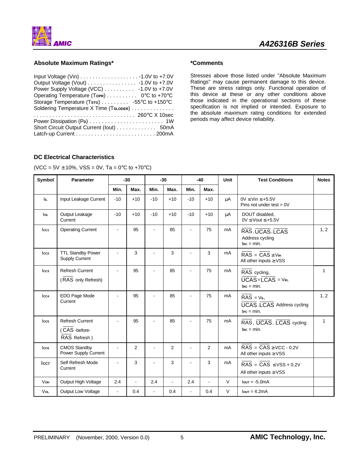

#### **Absolute Maximum Ratings\***

| Output Voltage (Vout) 4.0V to +7.0V                                       |  |
|---------------------------------------------------------------------------|--|
| Power Supply Voltage (VCC) -1.0V to +7.0V                                 |  |
| Operating Temperature (Torr) $\ldots \ldots \ldots$ 0°C to +70°C          |  |
| Storage Temperature (Tsrs) $\ldots \ldots \ldots -55^{\circ}C$ to +150 °C |  |
| Soldering Temperature X Time (TsLopER)                                    |  |
|                                                                           |  |
|                                                                           |  |
| Short Circuit Output Current (lout) 50mA                                  |  |
|                                                                           |  |

#### **\*Comments**

Stresses above those listed under "Absolute Maximum Ratings" may cause permanent damage to this device. These are stress ratings only. Functional operation of this device at these or any other conditions above those indicated in the operational sections of these specification is not implied or intended. Exposure to the absolute maximum rating conditions for extended periods may affect device reliability.

#### **DC Electrical Characteristics**

 $(VCC = 5V \pm 10\%, VSS = 0V, Ta = 0°C$  to +70°C)

| <b>Symbol</b>    | <b>Parameter</b>                                       |                | $-30$          |                | $-35$ |                | $-40$ | <b>Unit</b> | <b>Test Conditions</b>                                                                     | <b>Notes</b> |
|------------------|--------------------------------------------------------|----------------|----------------|----------------|-------|----------------|-------|-------------|--------------------------------------------------------------------------------------------|--------------|
|                  |                                                        | Min.           | Max.           | Min.           | Max.  | Min.           | Max.  |             |                                                                                            |              |
| hц.              | Input Leakage Current                                  | $-10$          | $+10$          | $-10$          | $+10$ | $-10$          | $+10$ | μA          | $0V \leq$ Vin $\leq$ +5.5V<br>Pins not under test = $0V$                                   |              |
| loL              | Output Leakage<br>Current                              | $-10$          | $+10$          | $-10$          | $+10$ | $-10$          | $+10$ | μA          | DOUT disabled.<br>$0V \leq$ Vout $\leq$ +5.5V                                              |              |
| Icc <sub>1</sub> | <b>Operating Current</b>                               |                | 95             | ÷.             | 85    | $\blacksquare$ | 75    | mA          | RAS, UCAS, LCAS<br>Address cycling<br>$\text{trc} = \text{min}$ .                          | 1, 2         |
| Icc <sub>2</sub> | <b>TTL Standby Power</b><br>Supply Current             |                | 3              | $\blacksquare$ | 3     | L.             | 3     | mA          | $RAS = CAS \geq V_{IH}$<br>All other inputs $\geq$ VSS                                     |              |
| Icc <sub>3</sub> | <b>Refresh Current</b><br>(RAS only Refresh)           | ÷.             | 95             | $\blacksquare$ | 85    | ÷              | 75    | mA          | RAS cycling,<br>$\overline{UCAS} = \overline{LCAS} = \overline{V_{IH}}$<br>$t_{RC} = min.$ | 1            |
| cc4              | EDO Page Mode<br>Current                               |                | 95             |                | 85    |                | 75    | mA          | $RAS = VIL$<br>UCAS, LCAS Address cycling<br>$\text{trc} = \text{min}$ .                   | 1, 2         |
| Icc <sub>5</sub> | <b>Refresh Current</b><br>(CAS-before-<br>RAS Refresh) |                | 95             | $\blacksquare$ | 85    |                | 75    | mA          | RAS, UCAS, LCAS cycling<br>$\text{trc} = \text{min}$ .                                     | 1            |
| Iccs             | <b>CMOS Standby</b><br>Power Supply Current            | $\blacksquare$ | 2              | ÷              | 2     | $\blacksquare$ | 2     | mA          | $RAS = CAS \geq VCC - 0.2V$<br>All other inputs $\geq$ VSS                                 |              |
| Icc7             | Self Refresh Mode<br>Current                           |                | 3              | $\blacksquare$ | 3     | $\blacksquare$ | 3     | mA          | $RAS = CAS \leq VSS + 0.2V$<br>All other inputs $\geq$ VSS                                 |              |
| <b>V</b> он      | Output High Voltage                                    | 2.4            | $\overline{a}$ | 2.4            | L.    | 2.4            | ÷,    | $\vee$      | $I$ our = $-5.0$ m $A$                                                                     |              |
| Vol              | Output Low Voltage                                     | ä,             | 0.4            | $\blacksquare$ | 0.4   | $\blacksquare$ | 0.4   | V           | $I$ out = 4.2mA                                                                            |              |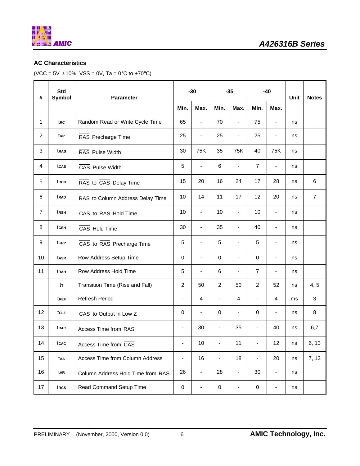

## **AC Characteristics**

(VCC =  $5V \pm 10\%$ , VSS = 0V, Ta =  $0^{\circ}$ C to +70 $^{\circ}$ C)

| #              | <b>Std</b><br>Symbol | Parameter                         |                              | $-30$                        |                          | $-35$                        |                | $-40$                    |    | <b>Notes</b>   |
|----------------|----------------------|-----------------------------------|------------------------------|------------------------------|--------------------------|------------------------------|----------------|--------------------------|----|----------------|
|                |                      |                                   | Min.                         | Max.                         | Min.                     | Max.                         | Min.           | Max.                     |    |                |
| 1              | trc                  | Random Read or Write Cycle Time   | 65                           | $\overline{\phantom{0}}$     | 70                       | $\qquad \qquad \blacksquare$ | 75             | $\blacksquare$           | ns |                |
| $\overline{2}$ | trp                  | RAS Precharge Time                | 25                           | $\overline{\phantom{a}}$     | 25                       | $\qquad \qquad \blacksquare$ | 25             | $\overline{\phantom{a}}$ | ns |                |
| 3              | tras                 | RAS Pulse Width                   | 30                           | 75K                          | 35                       | 75K                          | 40             | 75K                      | ns |                |
| 4              | tcas                 | CAS Pulse Width                   | 5                            | $\blacksquare$               | 6                        | $\overline{\phantom{a}}$     | $\overline{7}$ | $\blacksquare$           | ns |                |
| 5              | trcd                 | RAS to CAS Delay Time             | 15                           | 20                           | 16                       | 24                           | 17             | 28                       | ns | 6              |
| 6              | trad                 | RAS to Column Address Delay Time  | 10                           | 14                           | 11                       | 17                           | 12             | 20                       | ns | $\overline{7}$ |
| $\overline{7}$ | trsh                 | CAS to RAS Hold Time              | 10                           | $\blacksquare$               | 10                       | $\qquad \qquad \blacksquare$ | 10             | $\blacksquare$           | ns |                |
| 8              | tcsн                 | CAS Hold Time                     | 30                           | $\blacksquare$               | 35                       | $\overline{\phantom{a}}$     | 40             | $\blacksquare$           | ns |                |
| 9              | tcrP                 | CAS to RAS Precharge Time         | 5                            | $\qquad \qquad \blacksquare$ | 5                        | $\qquad \qquad \blacksquare$ | 5              | $\overline{\phantom{a}}$ | ns |                |
| 10             | tasr                 | Row Address Setup Time            | 0                            | $\overline{\phantom{0}}$     | 0                        | $\qquad \qquad \blacksquare$ | 0              | $\overline{\phantom{a}}$ | ns |                |
| 11             | trah                 | Row Address Hold Time             | 5                            | $\frac{1}{2}$                | 6                        | $\blacksquare$               | $\overline{7}$ | $\overline{\phantom{a}}$ | ns |                |
|                | tт                   | Transition Time (Rise and Fall)   | $\overline{c}$               | 50                           | $\overline{c}$           | 50                           | 2              | 52                       | ns | 4, 5           |
|                | tref                 | Refresh Period                    | $\overline{\phantom{a}}$     | $\overline{4}$               | $\blacksquare$           | 4                            | $\blacksquare$ | $\overline{4}$           | ms | 3              |
| 12             | tcLz                 | CAS to Output in Low Z            | 0                            | $\overline{\phantom{0}}$     | 0                        | $\blacksquare$               | 0              | $\blacksquare$           | ns | 8              |
| 13             | trac                 | Access Time from RAS              | $\overline{\phantom{a}}$     | 30                           | $\blacksquare$           | 35                           | $\blacksquare$ | 40                       | ns | 6,7            |
| 14             | tcac                 | Access Time from CAS              | $\blacksquare$               | 10                           | $\overline{\phantom{a}}$ | 11                           | $\blacksquare$ | 12                       | ns | 6, 13          |
| 15             | taa                  | Access Time from Column Address   | $\qquad \qquad \blacksquare$ | 16                           | -                        | 18                           | $\blacksquare$ | 20                       | ns | 7, 13          |
| 16             | tar                  | Column Address Hold Time from RAS | 26                           | $\overline{\phantom{a}}$     | 28                       | $\overline{\phantom{0}}$     | 30             | $\overline{\phantom{a}}$ | ns |                |
| 17             | trcs                 | Read Command Setup Time           | $\pmb{0}$                    | ٠                            | $\pmb{0}$                | $\overline{\phantom{0}}$     | $\pmb{0}$      | $\overline{\phantom{a}}$ | ns |                |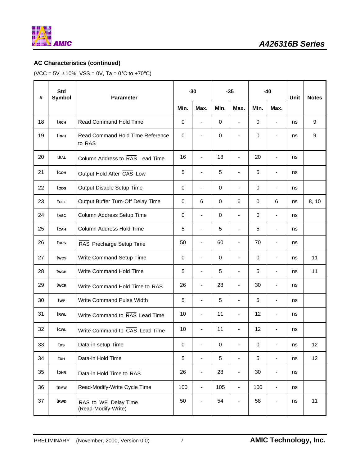

## **AC Characteristics (continued)**

(VCC =  $5V \pm 10\%$ , VSS = 0V, Ta =  $0^{\circ}$ C to +70 $^{\circ}$ C)

| #  | <b>Std</b><br><b>Symbol</b> | Parameter                                   | $-35$<br>$-30$ |                          |             | $-40$                        |             | Unit                         | <b>Notes</b> |                  |
|----|-----------------------------|---------------------------------------------|----------------|--------------------------|-------------|------------------------------|-------------|------------------------------|--------------|------------------|
|    |                             |                                             | Min.           | Max.                     | Min.        | Max.                         | Min.        | Max.                         |              |                  |
| 18 | trch                        | Read Command Hold Time                      | 0              | $\overline{\phantom{0}}$ | 0           | $\blacksquare$               | $\mathbf 0$ | ۰                            | ns           | 9                |
| 19 | trrh                        | Read Command Hold Time Reference<br>to RAS  | 0              | $\overline{\phantom{0}}$ | 0           | ٠                            | $\mathbf 0$ | $\overline{\phantom{a}}$     | ns           | $\boldsymbol{9}$ |
| 20 | tral                        | Column Address to RAS Lead Time             | 16             | $\overline{\phantom{0}}$ | 18          | $\blacksquare$               | 20          | ÷,                           | ns           |                  |
| 21 | tcoн                        | Output Hold After CAS Low                   | 5              | $\blacksquare$           | 5           | $\overline{\phantom{m}}$     | 5           | ÷,                           | ns           |                  |
| 22 | tops                        | Output Disable Setup Time                   | 0              | $\blacksquare$           | $\mathbf 0$ | $\blacksquare$               | 0           | $\overline{\phantom{a}}$     | ns           |                  |
| 23 | toff                        | Output Buffer Turn-Off Delay Time           | 0              | 6                        | 0           | 6                            | $\mathbf 0$ | 6                            | ns           | 8, 10            |
| 24 | tasc                        | Column Address Setup Time                   | 0              | $\overline{\phantom{a}}$ | 0           | $\blacksquare$               | $\mathbf 0$ | $\overline{\phantom{a}}$     | ns           |                  |
| 25 | tcah                        | Column Address Hold Time                    | 5              | $\blacksquare$           | 5           | $\blacksquare$               | 5           | $\blacksquare$               | ns           |                  |
| 26 | trps                        | RAS Precharge Setup Time                    | 50             | $\blacksquare$           | 60          | $\overline{\phantom{a}}$     | 70          | $\overline{\phantom{a}}$     | ns           |                  |
| 27 | twcs                        | Write Command Setup Time                    | 0              | $\overline{\phantom{a}}$ | 0           | $\qquad \qquad \blacksquare$ | $\mathbf 0$ | $\overline{\phantom{a}}$     | ns           | 11               |
| 28 | twch                        | Write Command Hold Time                     | 5              | $\blacksquare$           | 5           | $\blacksquare$               | 5           | $\overline{\phantom{a}}$     | ns           | 11               |
| 29 | twcr                        | Write Command Hold Time to RAS              | 26             | $\overline{\phantom{a}}$ | 28          | $\overline{\phantom{a}}$     | 30          | ۷                            | ns           |                  |
| 30 | twe                         | Write Command Pulse Width                   | 5              | $\blacksquare$           | 5           | $\blacksquare$               | 5           | $\overline{\phantom{a}}$     | ns           |                  |
| 31 | trwl                        | Write Command to RAS Lead Time              | 10             | $\overline{\phantom{0}}$ | 11          | $\qquad \qquad \blacksquare$ | 12          | Ξ.                           | ns           |                  |
| 32 | tcwL                        | Write Command to CAS Lead Time              | 10             |                          | 11          | $\blacksquare$               | 12          |                              | ns           |                  |
| 33 | tos                         | Data-in setup Time                          | 0              | $\sim$                   | 0           | ٠                            | 0           |                              | ns           | 12               |
| 34 | toh                         | Data-in Hold Time                           | 5              | $\overline{\phantom{a}}$ | $\mathbf 5$ | $\overline{\phantom{a}}$     | 5           | -                            | ns           | 12               |
| 35 | tdhr                        | Data-in Hold Time to RAS                    | 26             | $\overline{\phantom{0}}$ | 28          | $\overline{\phantom{a}}$     | 30          | $\qquad \qquad \blacksquare$ | ns           |                  |
| 36 | trmw                        | Read-Modify-Write Cycle Time                | 100            | $\blacksquare$           | 105         | $\overline{\phantom{a}}$     | 100         | $\overline{\phantom{a}}$     | ns           |                  |
| 37 | trwd                        | RAS to WE Delay Time<br>(Read-Modify-Write) | 50             | $\overline{\phantom{a}}$ | 54          | $\overline{\phantom{a}}$     | 58          | $\qquad \qquad \blacksquare$ | ns           | 11               |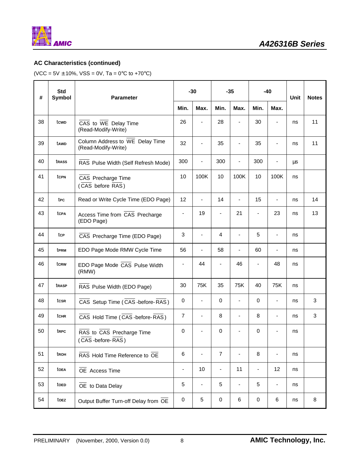

## **AC Characteristics (continued)**

(VCC =  $5V \pm 10\%$ , VSS = 0V, Ta =  $0^{\circ}$ C to +70 $^{\circ}$ C)

| #  | <b>Std</b><br>Symbol | <b>Parameter</b>                                                          |                          | $-30$                    |                          | $-35$                        | -40                      |                              | Unit | <b>Notes</b> |
|----|----------------------|---------------------------------------------------------------------------|--------------------------|--------------------------|--------------------------|------------------------------|--------------------------|------------------------------|------|--------------|
|    |                      |                                                                           | Min.                     | Max.                     | Min.                     | Max.                         | Min.                     | Max.                         |      |              |
| 38 | tcwp                 | $\overline{CAS}$ to $\overline{WE}$ Delay Time<br>(Read-Modify-Write)     | 26                       |                          | 28                       |                              | 30                       | ÷,                           | ns   | 11           |
| 39 | tawp                 | Column Address to WE Delay Time<br>(Read-Modify-Write)                    | 32                       | $\frac{1}{2}$            | 35                       | $\qquad \qquad \blacksquare$ | 35                       | $\frac{1}{2}$                | ns   | 11           |
| 40 | trass                | RAS Pulse Width (Self Refresh Mode)                                       | 300                      | $\blacksquare$           | 300                      | $\qquad \qquad \blacksquare$ | 300                      | $\overline{\phantom{a}}$     | μs   |              |
| 41 | tcpn                 | CAS Precharge Time<br>(CAS before RAS)                                    |                          | 100K                     | 10                       | 100K                         | 10                       | 100K                         | ns   |              |
| 42 | tec                  | Read or Write Cycle Time (EDO Page)                                       | 12                       | $\blacksquare$           | 14                       | $\blacksquare$               | 15                       | $\frac{1}{2}$                | ns   | 14           |
| 43 | tcpa                 | Access Time from CAS Precharge<br>(EDO Page)                              |                          | 19                       | $\blacksquare$           | 21                           |                          | 23                           | ns   | 13           |
| 44 | tcp                  | CAS Precharge Time (EDO Page)                                             | 3                        | $\blacksquare$           | 4                        | $\qquad \qquad \blacksquare$ | 5                        | $\frac{1}{2}$                | ns   |              |
| 45 | tprm                 | EDO Page Mode RMW Cycle Time                                              | 56                       | $\overline{\phantom{0}}$ | 58                       | ä,                           | 60                       | $\qquad \qquad \blacksquare$ | ns   |              |
| 46 | tcrw                 | EDO Page Mode CAS Pulse Width<br>(RMW)                                    |                          | 44                       | $\blacksquare$           | 46                           | ٠                        | 48                           | ns   |              |
| 47 | trasp                | RAS Pulse Width (EDO Page)                                                | 30                       | 75K                      | 35                       | 75K                          | 40                       | 75K                          | ns   |              |
| 48 | tcsr                 | CAS Setup Time (CAS-before-RAS)                                           | 0                        | ä,                       | $\mathbf 0$              | $\qquad \qquad \blacksquare$ | $\mathbf 0$              | $\qquad \qquad \blacksquare$ | ns   | 3            |
| 49 | tchr                 | $\overline{CAS}$ Hold Time ( $\overline{CAS}$ -before- $\overline{RAS}$ ) | $\overline{7}$           |                          | 8                        | $\blacksquare$               | 8                        | ä,                           | ns   | 3            |
| 50 | trpc                 | RAS to CAS Precharge Time<br>(CAS-before-RAS)                             | 0                        | $\blacksquare$           | $\mathbf 0$              | $\blacksquare$               | $\mathbf 0$              | $\overline{\phantom{m}}$     | ns   |              |
| 51 | troh                 | RAS Hold Time Reference to OE                                             | 6                        | $\overline{\phantom{0}}$ | $\overline{7}$           | $\overline{\phantom{0}}$     | 8                        | $\blacksquare$               | ns   |              |
| 52 | toea                 | OE Access Time                                                            | $\overline{\phantom{a}}$ | 10                       | $\overline{\phantom{a}}$ | 11                           | $\overline{\phantom{0}}$ | 12                           | ns   |              |
| 53 | toep                 | OE to Data Delay                                                          | 5                        | $\blacksquare$           | 5                        | $\qquad \qquad \blacksquare$ | 5                        | $\overline{\phantom{a}}$     | ns   |              |
| 54 | toez                 | Output Buffer Turn-off Delay from OE                                      | 0                        | 5                        | 0                        | 6                            | $\pmb{0}$                | 6                            | ns   | 8            |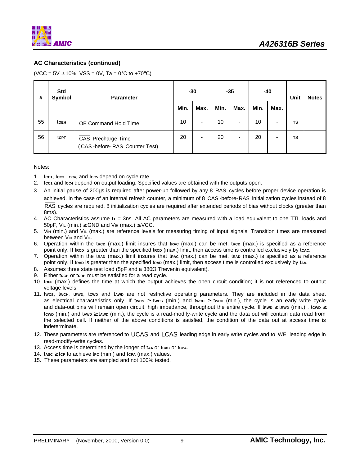

#### **AC Characteristics (continued)**

(VCC =  $5V \pm 10\%$ , VSS = 0V, Ta =  $0^{\circ}$ C to +70 $^{\circ}$ C)

| #  | <b>Std</b><br>Symbol | <b>Parameter</b>                                    |    | -30  |      | $-35$ |      | -40  |    | <b>Notes</b> |
|----|----------------------|-----------------------------------------------------|----|------|------|-------|------|------|----|--------------|
|    |                      |                                                     |    | Max. | Min. | Max.  | Min. | Max. |    |              |
| 55 | toeh                 | OE Command Hold Time                                | 10 |      | 10   | ٠     | 10   | -    | ns |              |
| 56 | tcpt                 | CAS Precharge Time<br>(CAS-before-RAS Counter Test) | 20 | -    | 20   | ٠     | 20   | -    | ns |              |

Notes:

- 1. I**CC1**, I**CC3**, I**CC4**, and I**CC5** depend on cycle rate.
- 2. I**CC1** and I**CC4** depend on output loading. Specified values are obtained with the outputs open.
- 3. An initial pause of 200μs is required after power-up followed by any 8 RAS cycles before proper device operation is achieved. In the case of an internal refresh counter, a minimum of 8 CAS -before-RAS initialization cycles instead of 8 RAS cycles are required. 8 initialization cycles are required after extended periods of bias without clocks (greater than 8ms).
- 4. AC Characteristics assume t**T** = 3ns. All AC parameters are measured with a load equivalent to one TTL loads and  $50pF$ ,  $V_{IL}$  (min.)  $\geq$  GND and  $V_{IH}$  (max.)  $\leq$  VCC.
- 5. V**IH** (min.) and V**IL** (max.) are reference levels for measuring timing of input signals. Transition times are measured between V**IH** and V**IL**.
- 6. Operation within the t**RCD** (max.) limit insures that t**RAC** (max.) can be met. t**RCD** (max.) is specified as a reference point only. If tries is greater than the specified tries (max.) limit, then access time is controlled exclusively by tcac.
- 7. Operation within the t**RAD** (max.) limit insures that t**RAC** (max.) can be met. t**RAD** (max.) is specified as a reference point only. If t**RAD** is greater than the specified t**RAD** (max.) limit, then access time is controlled exclusively by t**AA**.
- 8. Assumes three state test load (5pF and a  $380\Omega$  Thevenin equivalent).
- 9. Either trich or trich must be satisfied for a read cycle.
- 10. t**OFF** (max.) defines the time at which the output achieves the open circuit condition; it is not referenced to output voltage levels.
- 11. t**WCS**, t**WCH**, t**RWD**, t**CWD** and t**AWD** are not restrictive operating parameters. They are included in the data sheet as electrical characteristics only. If twcs  $\geq$  twcs (min.) and twch  $\geq$  twch (min.), the cycle is an early write cycle and data-out pins will remain open circuit, high impedance, throughout the entire cycle. If trwp ≥ trwp (min.), tcwp ≥ t**CWD** (min.) and t**AWD** ≥ t**AWD** (min.), the cycle is a read-modify-write cycle and the data out will contain data read from the selected cell. If neither of the above conditions is satisfied, the condition of the data out at access time is indeterminate.
- 12. These parameters are referenced to UCAS and LCAS leading edge in early write cycles and to WE leading edge in read-modify-write cycles.
- 13. Access time is determined by the longer of taa or tcac or tcpa.
- 14. tasc  $\ge$  tcp to achieve tpc (min.) and tcpa (max.) values.
- 15. These parameters are sampled and not 100% tested.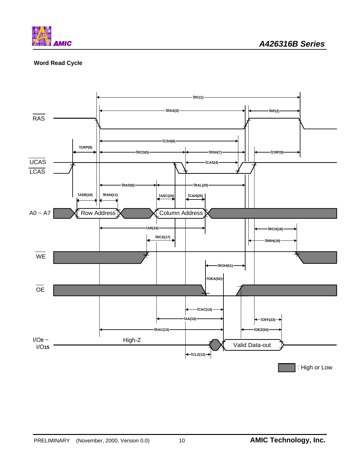

## **Word Read Cycle**

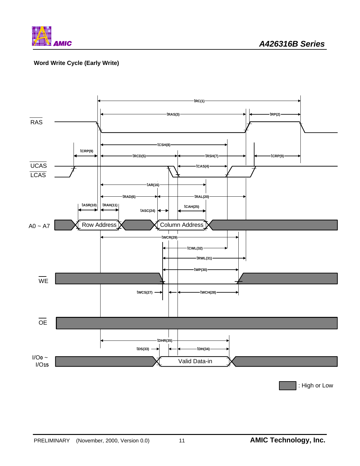

## **Word Write Cycle (Early Write)**

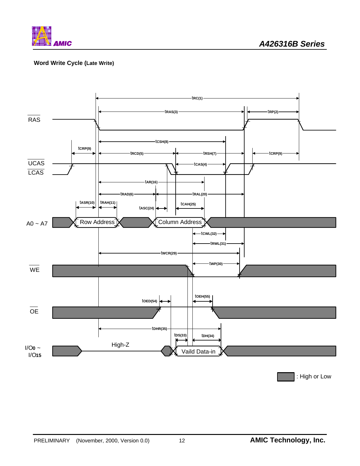

## **Word Write Cycle (Late Write)**



: High or Low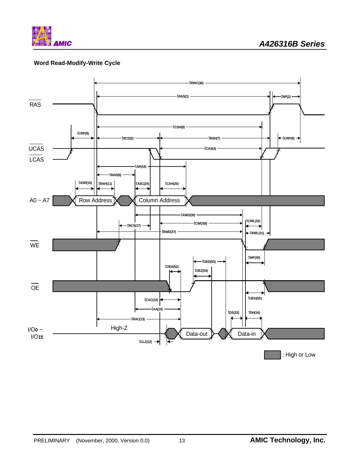

## **Word Read-Modify-Write Cycle**

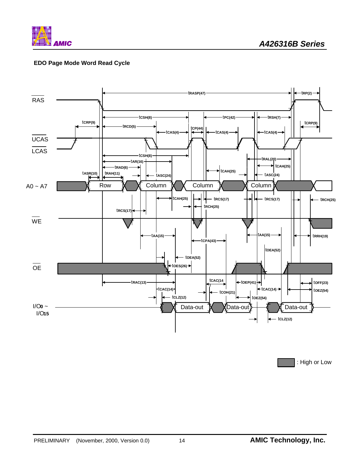

## **EDO Page Mode Word Read Cycle**



: High or Low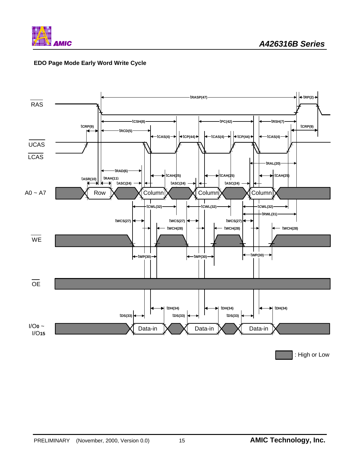



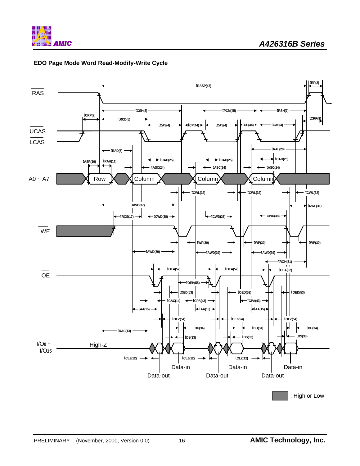



#### **EDO Page Mode Word Read-Modify-Write Cycle**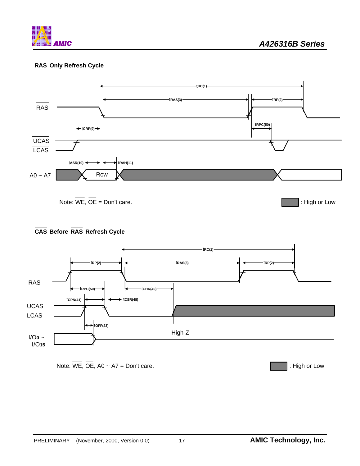

## **RAS Only Refresh Cycle**





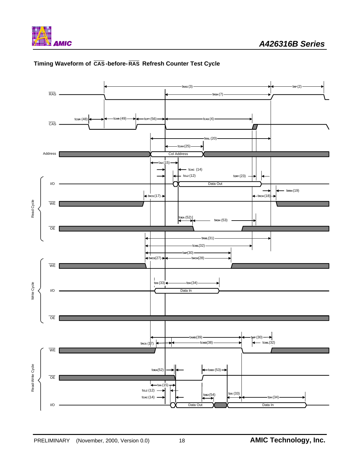



## **Timing Waveform of CAS -before- RAS Refresh Counter Test Cycle**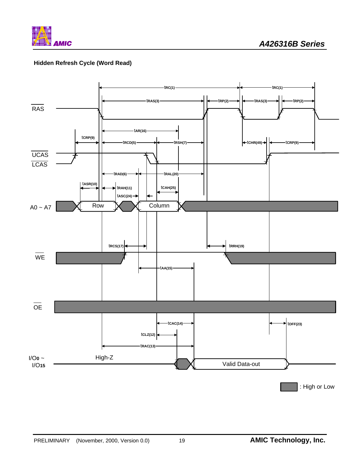

## **Hidden Refresh Cycle (Word Read)**

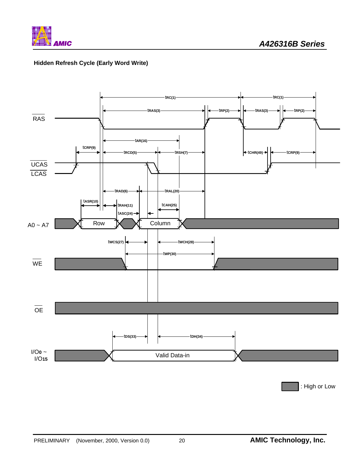

## **Hidden Refresh Cycle (Early Word Write)**

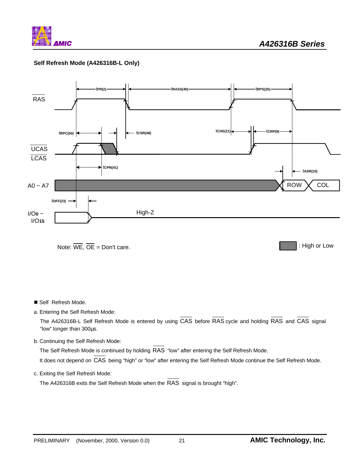

: High or Low

## **Self Refresh Mode (A426316B-L Only)**



Note:  $\overline{WE}$ ,  $\overline{OE}$  = Don't care.

■ Self Refresh Mode.

a. Entering the Self Refresh Mode:

The A426316B-L Self Refresh Mode is entered by using CAS before RAS cycle and holding RAS and CAS signal "low" longer than 300μs.

#### b. Continuing the Self Refresh Mode:

The Self Refresh Mode is continued by holding RAS "low" after entering the Self Refresh Mode.

It does not depend on CAS being "high" or "low" after entering the Self Refresh Mode continue the Self Refresh Mode.

c. Exiting the Self Refresh Mode:

The A426316B exits the Self Refresh Mode when the RAS signal is brought "high".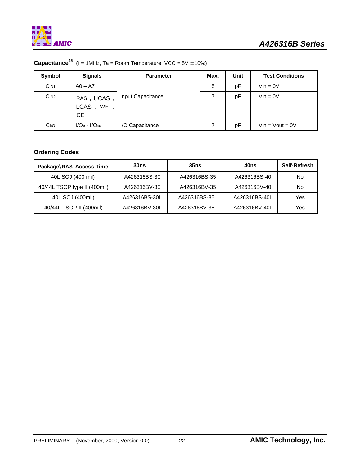

|  |  |  |  | <b>Capacitance</b> <sup>15</sup> (f = 1MHz, Ta = Room Temperature, VCC = $5V \pm 10\%$ ) |
|--|--|--|--|------------------------------------------------------------------------------------------|
|--|--|--|--|------------------------------------------------------------------------------------------|

| Symbol            | <b>Signals</b>                                                     | <b>Parameter</b>  | Max. | Unit | <b>Test Conditions</b>  |
|-------------------|--------------------------------------------------------------------|-------------------|------|------|-------------------------|
| CIN <sub>1</sub>  | $AO - A7$                                                          |                   | 5    | pF   | $V$ in = 0 $V$          |
| C <sub>IN2</sub>  | RAS, UCAS<br>$LCAS$ ,<br>$\overline{\text{WE}}$<br>$\overline{OE}$ | Input Capacitance |      | pF   | $V$ in = $0V$           |
| C <sub>1</sub> /O | $I/O_0 - I/O_{15}$                                                 | I/O Capacitance   |      | pF   | $V$ in = $V$ out = $0V$ |

## **Ordering Codes**

| Package\RAS Access Time      | 35ns<br>30ns  |               | 40ns          | <b>Self-Refresh</b> |
|------------------------------|---------------|---------------|---------------|---------------------|
| 40L SOJ (400 mil)            | A426316BS-30  | A426316BS-35  | A426316BS-40  | No                  |
| 40/44L TSOP type II (400mil) | A426316BV-30  | A426316BV-35  | A426316BV-40  | No                  |
| 40L SOJ (400mil)             | A426316BS-30L | A426316BS-35L | A426316BS-40L | Yes                 |
| 40/44L TSOP II (400mil)      | A426316BV-30L | A426316BV-35L | A426316BV-40L | Yes                 |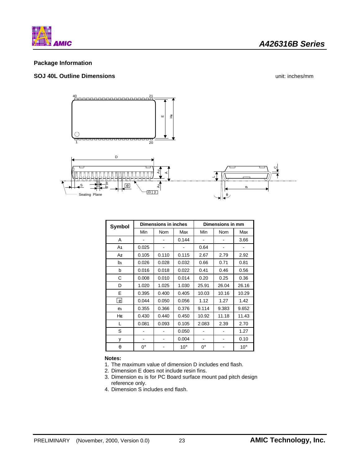

#### **Package Information**

## **SOJ 40L Outline Dimensions** unit: inches/mm



| <b>Symbol</b>  | <b>Dimensions in inches</b> |            |              | Dimensions in mm |            |              |  |
|----------------|-----------------------------|------------|--------------|------------------|------------|--------------|--|
|                | Min                         | <b>Nom</b> | Max          | Min              | <b>Nom</b> | Max          |  |
| A              |                             |            | 0.144        |                  |            | 3.66         |  |
| A1             | 0.025                       |            |              | 0.64             |            |              |  |
| A2             | 0.105                       | 0.110      | 0.115        | 2.67             | 2.79       | 2.92         |  |
| b <sub>1</sub> | 0.026                       | 0.028      | 0.032        | 0.66             | 0.71       | 0.81         |  |
| b              | 0.016                       | 0.018      | 0.022        | 0.41             | 0.46       | 0.56         |  |
| С              | 0.008                       | 0.010      | 0.014        | 0.20             | 0.25       | 0.36         |  |
| D              | 1.020                       | 1.025      | 1.030        | 25.91            | 26.04      | 26.16        |  |
| E              | 0.395                       | 0.400      | 0.405        | 10.03            | 10.16      | 10.29        |  |
| l el           | 0.044                       | 0.050      | 0.056        | 1.12             | 1.27       | 1.42         |  |
| e <sub>1</sub> | 0.355                       | 0.366      | 0.376        | 9.114            | 9.383      | 9.652        |  |
| HЕ             | 0.430                       | 0.440      | 0.450        | 10.92            | 11.18      | 11.43        |  |
| L              | 0.081                       | 0.093      | 0.105        | 2.083            | 2.39       | 2.70         |  |
| S              |                             |            | 0.050        |                  |            | 1.27         |  |
| у              |                             |            | 0.004        |                  |            | 0.10         |  |
| θ              | 0°                          |            | $10^{\circ}$ | 0°               |            | $10^{\circ}$ |  |

#### **Notes:**

- 1. The maximum value of dimension D includes end flash.
- 2. Dimension E does not include resin fins.
- 3. Dimension e**1** is for PC Board surface mount pad pitch design reference only.
- 4. Dimension S includes end flash.